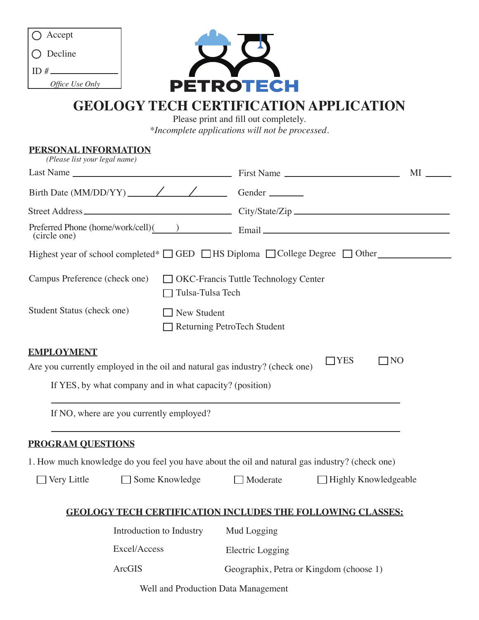| $\bigcap$ Accept   |
|--------------------|
| $\bigcirc$ Decline |
| ID $#$             |
| Office Use Only    |



# **GEOLOGY TECH CERTIFICATION APPLICATION**

Please print and fill out completely. *\*Incomplete applications will not be processed.*

**PERSONAL INFORMATION** Last Name MI Highest year of school completed\*  $\Box$  GED  $\Box$  HS Diploma  $\Box$  College Degree  $\Box$  Other (circle one) □ OKC-Francis Tuttle Technology Center Tulsa-Tulsa Tech Campus Preference (check one) Street Address City/State/Zip Email Preferred Phone (home/work/cell)( ) Birth Date (MM/DD/YY) Gender **EMPLOYMENT** Are you currently employed in the oil and natural gas industry? (check one) If YES, by what company and in what capacity? (position) If NO, where are you currently employed? **PROGRAM QUESTIONS** *(Please list your legal name)*  $\Box$ YES  $\Box$ NO 1. How much knowledge do you feel you have about the oil and natural gas industry? (check one) □ Very Little Some Knowledge Inderate Highly Knowledgeable Student Status (check one) 
New Student Returning PetroTech Student

### **GEOLOGY TECH CERTIFICATION INCLUDES THE FOLLOWING CLASSES:**

| Introduction to Industry | Mud Logging                             |
|--------------------------|-----------------------------------------|
| Excel/Access             | Electric Logging                        |
| ArcGIS                   | Geographix, Petra or Kingdom (choose 1) |

Well and Production Data Management